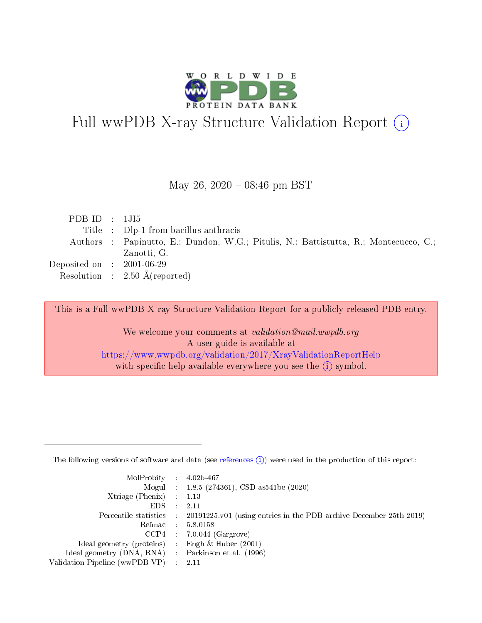

# Full wwPDB X-ray Structure Validation Report (i)

#### May 26,  $2020 - 08:46$  pm BST

| PDBID : 1JI5                         |                                                                                      |
|--------------------------------------|--------------------------------------------------------------------------------------|
|                                      | Title : Dlp-1 from bacillus anthracis                                                |
|                                      | Authors : Papinutto, E.; Dundon, W.G.; Pitulis, N.; Battistutta, R.; Montecucco, C.; |
|                                      | Zanotti, G.                                                                          |
| Deposited on $\therefore$ 2001-06-29 |                                                                                      |
|                                      | Resolution : $2.50 \text{ Å}$ (reported)                                             |
|                                      |                                                                                      |

This is a Full wwPDB X-ray Structure Validation Report for a publicly released PDB entry.

We welcome your comments at validation@mail.wwpdb.org A user guide is available at <https://www.wwpdb.org/validation/2017/XrayValidationReportHelp> with specific help available everywhere you see the  $(i)$  symbol.

The following versions of software and data (see [references](https://www.wwpdb.org/validation/2017/XrayValidationReportHelp#references)  $(1)$ ) were used in the production of this report:

| $MolProbability$ 4.02b-467                          |               |                                                                                            |
|-----------------------------------------------------|---------------|--------------------------------------------------------------------------------------------|
|                                                     |               | Mogul : $1.8.5$ (274361), CSD as 541be (2020)                                              |
| Xtriage (Phenix) $: 1.13$                           |               |                                                                                            |
| EDS.                                                | $\mathcal{L}$ | -2.11                                                                                      |
|                                                     |               | Percentile statistics : 20191225.v01 (using entries in the PDB archive December 25th 2019) |
|                                                     |               | Refmac $5.8.0158$                                                                          |
| CCP4                                                |               | $7.0.044$ (Gargrove)                                                                       |
| Ideal geometry (proteins)                           | $\sim$        | Engh $\&$ Huber (2001)                                                                     |
| Ideal geometry (DNA, RNA) : Parkinson et al. (1996) |               |                                                                                            |
| Validation Pipeline (wwPDB-VP) : 2.11               |               |                                                                                            |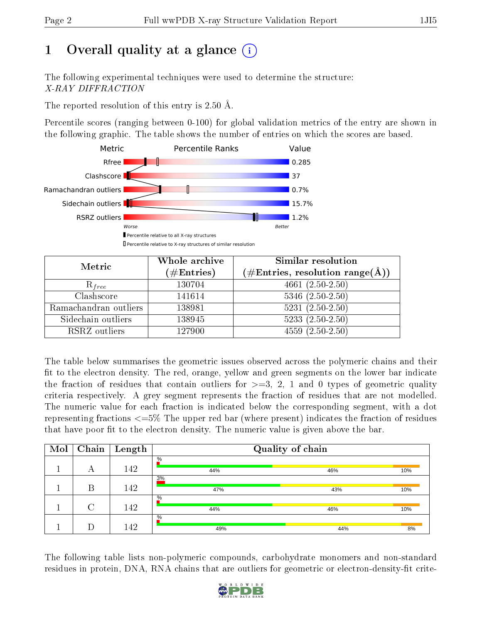# 1 [O](https://www.wwpdb.org/validation/2017/XrayValidationReportHelp#overall_quality)verall quality at a glance  $(i)$

The following experimental techniques were used to determine the structure: X-RAY DIFFRACTION

The reported resolution of this entry is 2.50 Å.

Percentile scores (ranging between 0-100) for global validation metrics of the entry are shown in the following graphic. The table shows the number of entries on which the scores are based.



| Metric                | Whole archive<br>$(\#\mathrm{Entries})$ | Similar resolution<br>$(\#\text{Entries},\,\text{resolution}\,\,\text{range}(\textup{\AA}))$ |
|-----------------------|-----------------------------------------|----------------------------------------------------------------------------------------------|
| $R_{free}$            | 130704                                  | $4661(2.50-2.50)$                                                                            |
| Clashscore            | 141614                                  | $5346$ $(2.50-2.50)$                                                                         |
| Ramachandran outliers | 138981                                  | $5231 (2.50 - 2.50)$                                                                         |
| Sidechain outliers    | 138945                                  | $5233(2.50-2.50)$                                                                            |
| RSRZ outliers         | 127900                                  | $4559(2.50-2.50)$                                                                            |

The table below summarises the geometric issues observed across the polymeric chains and their fit to the electron density. The red, orange, yellow and green segments on the lower bar indicate the fraction of residues that contain outliers for  $\geq=3$ , 2, 1 and 0 types of geometric quality criteria respectively. A grey segment represents the fraction of residues that are not modelled. The numeric value for each fraction is indicated below the corresponding segment, with a dot representing fractions <=5% The upper red bar (where present) indicates the fraction of residues that have poor fit to the electron density. The numeric value is given above the bar.

| Mol | Chain  | $\perp$ Length | Quality of chain |     |     |  |  |  |
|-----|--------|----------------|------------------|-----|-----|--|--|--|
|     | А      | 142            | $\%$<br>44%      | 46% | 10% |  |  |  |
|     | Β      | 142            | 3%<br>47%        | 43% | 10% |  |  |  |
|     | $\cap$ | 142            | $\%$<br>44%      | 46% | 10% |  |  |  |
|     |        | 142            | $\%$<br>49%      | 44% | 8%  |  |  |  |

The following table lists non-polymeric compounds, carbohydrate monomers and non-standard residues in protein, DNA, RNA chains that are outliers for geometric or electron-density-fit crite-

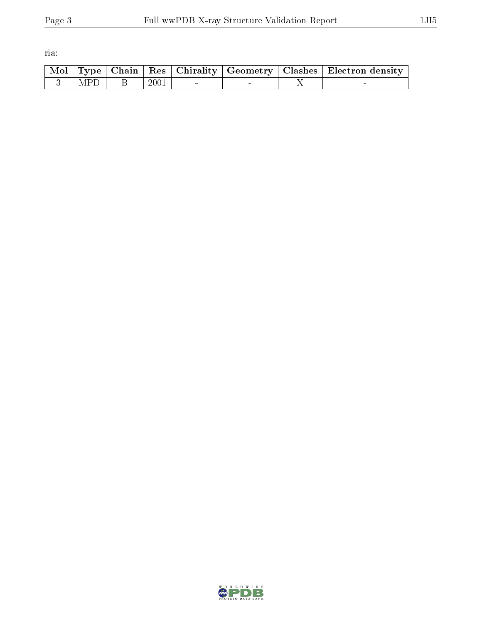ria:

|  |                      |  |  | $\mid$ Mol $\mid$ Type $\mid$ Chain $\mid$ Res $\mid$ Chirality $\mid$ Geometry $\mid$ Clashes $\mid$ Electron density $\mid$ |
|--|----------------------|--|--|-------------------------------------------------------------------------------------------------------------------------------|
|  | $3$   MPD   B   2001 |  |  |                                                                                                                               |

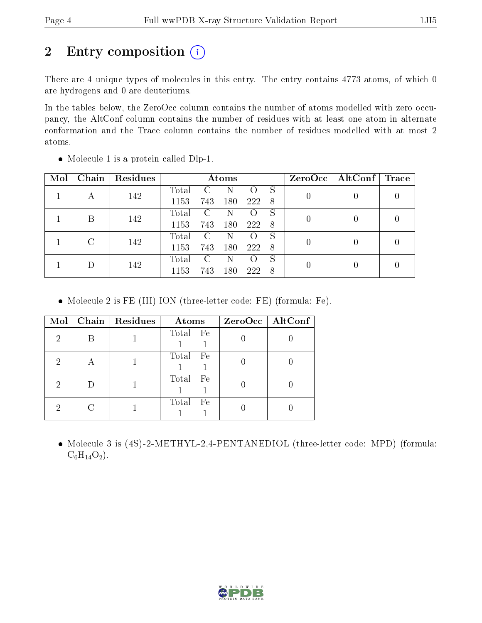# 2 Entry composition (i)

There are 4 unique types of molecules in this entry. The entry contains 4773 atoms, of which 0 are hydrogens and 0 are deuteriums.

In the tables below, the ZeroOcc column contains the number of atoms modelled with zero occupancy, the AltConf column contains the number of residues with at least one atom in alternate conformation and the Trace column contains the number of residues modelled with at most 2 atoms.

| Mol | Chain | Residues | Atoms       |                        |     | $ZeroOcc \mid AltConf \mid$ | $\sqrt{\mathbf{Trace}}$ |  |  |
|-----|-------|----------|-------------|------------------------|-----|-----------------------------|-------------------------|--|--|
|     |       | 142      | Total       |                        |     |                             | S                       |  |  |
|     |       |          | 1153        | 743                    | 180 | 222                         | - 8                     |  |  |
|     | В     | 142      | Total       | $\mathcal{C}$          | N   |                             | S                       |  |  |
|     |       |          | 1153        | 743                    | 180 | 222                         | - 8                     |  |  |
|     | C     |          | Total       | $\left( \cdot \right)$ |     |                             | S                       |  |  |
|     | 142   | 1153     | 743         | 180                    | 222 | -8                          |                         |  |  |
|     |       | 142      | $\rm Total$ | C                      | N   |                             | S                       |  |  |
|     |       | 1153     | 743         | 180                    | 222 | 8                           |                         |  |  |

• Molecule 1 is a protein called Dlp-1.

Molecule 2 is FE (III) ION (three-letter code: FE) (formula: Fe).

| Mol | Chain   Residues | Atoms         | ZeroOcc   AltConf |
|-----|------------------|---------------|-------------------|
| 2   |                  | Total Fe      |                   |
| 2   |                  | Total Fe      |                   |
| 2   |                  | Total Fe      |                   |
| 2   |                  | Total<br>– Fe |                   |

• Molecule 3 is (4S)-2-METHYL-2,4-PENTANEDIOL (three-letter code: MPD) (formula:  $C_6H_{14}O_2$ .

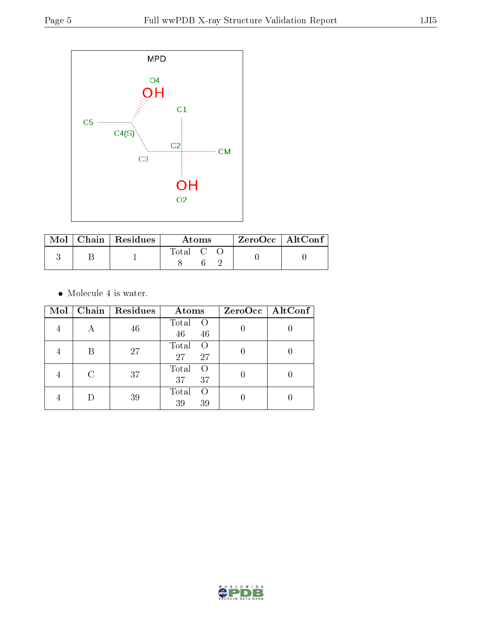

|  | $\text{Mol}$   Chain   Residues | Atoms              |  |  | $\rm ZeroOcc$   Alt $\rm Conf$ |
|--|---------------------------------|--------------------|--|--|--------------------------------|
|  |                                 | $\mathrm{Total}$ C |  |  |                                |

 $\bullet\,$  Molecule 4 is water.

| Mol | Chain                       | <b>Residues</b> | Atoms                         | ZeroOcc   AltConf |
|-----|-----------------------------|-----------------|-------------------------------|-------------------|
|     | А                           | 46              | Total<br>- 0<br>46<br>46      |                   |
|     | В                           | 27              | Total<br>$\Omega$<br>27<br>27 |                   |
|     | $\mathcal{C}_{\mathcal{C}}$ | 37              | Total<br>$\Omega$<br>37<br>37 |                   |
|     |                             | 39              | Total<br>$\left($<br>39<br>39 |                   |

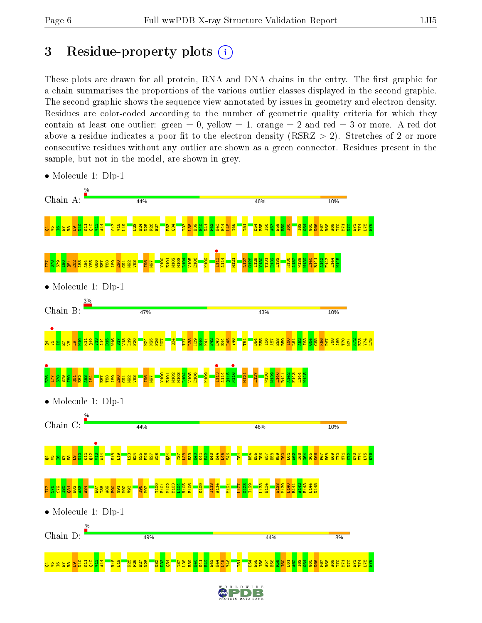# 3 Residue-property plots  $(i)$

These plots are drawn for all protein, RNA and DNA chains in the entry. The first graphic for a chain summarises the proportions of the various outlier classes displayed in the second graphic. The second graphic shows the sequence view annotated by issues in geometry and electron density. Residues are color-coded according to the number of geometric quality criteria for which they contain at least one outlier: green  $= 0$ , yellow  $= 1$ , orange  $= 2$  and red  $= 3$  or more. A red dot above a residue indicates a poor fit to the electron density (RSRZ  $> 2$ ). Stretches of 2 or more consecutive residues without any outlier are shown as a green connector. Residues present in the sample, but not in the model, are shown in grey.



• Molecule 1: Dlp-1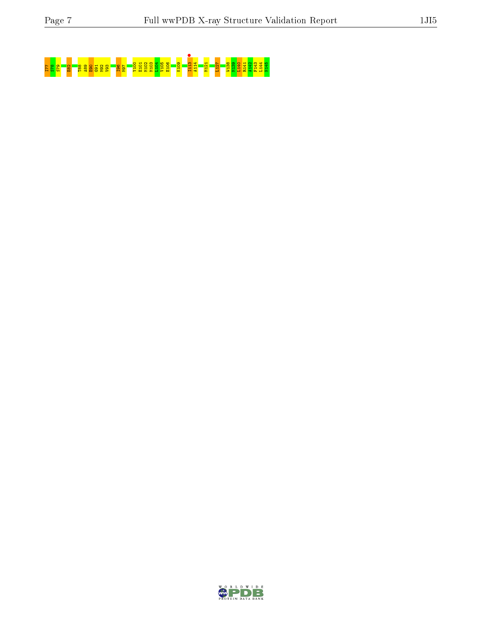# I77 S78 S79 E82 T88 A89 E90 G91 M92 V93 I96 M97 Y100 E101 M102 M103 L104 V105 E106 K109 I113 • A114 M121 L127 W138 M139 L140 R141 A142 F143 L144 N145

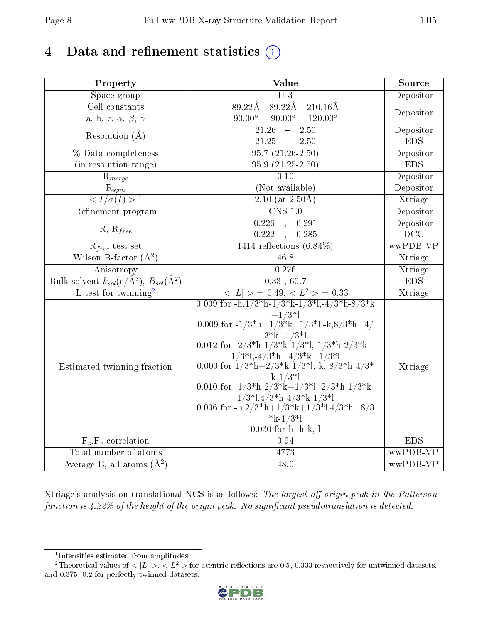# 4 Data and refinement statistics  $(i)$

| Property                                                             | Value                                                                                                                                     | Source     |
|----------------------------------------------------------------------|-------------------------------------------------------------------------------------------------------------------------------------------|------------|
| Space group                                                          | $\overline{H}3$                                                                                                                           | Depositor  |
| Cell constants                                                       | 89.22Å<br>89.22Å<br>$210.16\text{\AA}$                                                                                                    |            |
| a, b, c, $\alpha$ , $\beta$ , $\gamma$                               | $90.00^\circ$<br>$90.00^\circ$<br>$120.00^{\circ}$                                                                                        | Depositor  |
| Resolution $(A)$                                                     | $\overline{21.26}$<br>$\overline{2.50}$<br>$\equiv$                                                                                       | Depositor  |
|                                                                      | 21.25<br>2.50<br>$\rightarrow$                                                                                                            | <b>EDS</b> |
| % Data completeness                                                  | $95.7(21.26-2.50)$                                                                                                                        | Depositor  |
| (in resolution range)                                                | $95.9(21.25-2.50)$                                                                                                                        | <b>EDS</b> |
| $R_{merge}$                                                          | 0.10                                                                                                                                      | Depositor  |
| $\overline{\mathbf{R}}_{\underline{sym}}$                            | (Not available)                                                                                                                           | Depositor  |
| $\frac{1}{\sqrt{I}}$ / $\sigma(I) > 1$                               | 2.10 (at $2.50\text{\AA}$ )                                                                                                               | Xtriage    |
| Refinement program                                                   | $\overline{\text{CNS} 1.0}$                                                                                                               | Depositor  |
|                                                                      | 0.226<br>0.291<br>$\mathbb{R}^2$                                                                                                          | Depositor  |
| $R, R_{free}$                                                        | 0.222<br>0.285                                                                                                                            | DCC        |
| $R_{free}$ test set                                                  | $1414$ reflections $(6.84\%)$                                                                                                             | wwPDB-VP   |
| Wilson B-factor $(\AA^2)$                                            | 46.8                                                                                                                                      | Xtriage    |
| Anisotropy                                                           | 0.276                                                                                                                                     | Xtriage    |
| Bulk solvent $k_{sol}(e/\mathring{A}^3)$ , $B_{sol}(\mathring{A}^2)$ | $\overline{0.33}$ , $60.7$                                                                                                                | <b>EDS</b> |
| L-test for twinning <sup>2</sup>                                     | $\langle  L  \rangle = 0.49, \langle L^2 \rangle = 0.33$                                                                                  | Xtriage    |
|                                                                      | 0.009 for $-h, 1/3*h-1/3*k-1/3'l, -4/3*h-8/3*k$<br>$+1/3*1$                                                                               |            |
|                                                                      | 0.009 for $-1/3*h+1/3*k+1/3*1,-k,8/3*h+4/$                                                                                                |            |
|                                                                      | $3* k+1/3*1$<br>0.012 for $-2/3$ <sup>*</sup> h $-1/3$ <sup>*</sup> k $-1/3$ <sup>*</sup> l, $-1/3$ <sup>*</sup> h $-2/3$ <sup>*</sup> k+ |            |
|                                                                      | $1/3*1,-4/3*h+4/3*k+1/3*1$                                                                                                                |            |
| Estimated twinning fraction                                          | 0.000 for $1/3*h+2/3*k-1/3'l,-k,-8/3*h-4/3*$                                                                                              | Xtriage    |
|                                                                      | $k-1/3*$                                                                                                                                  |            |
|                                                                      | 0.010 for -1/3*h-2/3*k+1/3*l,-2/3*h-1/3*k-                                                                                                |            |
|                                                                      | $1/3*1,4/3*h-4/3*k-1/3*l$                                                                                                                 |            |
|                                                                      | 0.006 for -h,2/3*h+1/3*k+1/3*l,4/3*h+8/3                                                                                                  |            |
|                                                                      | $*_{k-1/3}*$                                                                                                                              |            |
|                                                                      | $0.030$ for $h,-h-k,-l$                                                                                                                   |            |
| $F_o, F_c$ correlation                                               | 0.94                                                                                                                                      | <b>EDS</b> |
| Total number of atoms                                                | 4773                                                                                                                                      | wwPDB-VP   |
| Average B, all atoms $(A^2)$                                         | 48.0                                                                                                                                      | wwPDB-VP   |

Xtriage's analysis on translational NCS is as follows: The largest off-origin peak in the Patterson function is  $4.22\%$  of the height of the origin peak. No significant pseudotranslation is detected.

<sup>&</sup>lt;sup>2</sup>Theoretical values of  $\langle |L| \rangle$ ,  $\langle L^2 \rangle$  for acentric reflections are 0.5, 0.333 respectively for untwinned datasets, and 0.375, 0.2 for perfectly twinned datasets.



<span id="page-7-1"></span><span id="page-7-0"></span><sup>1</sup> Intensities estimated from amplitudes.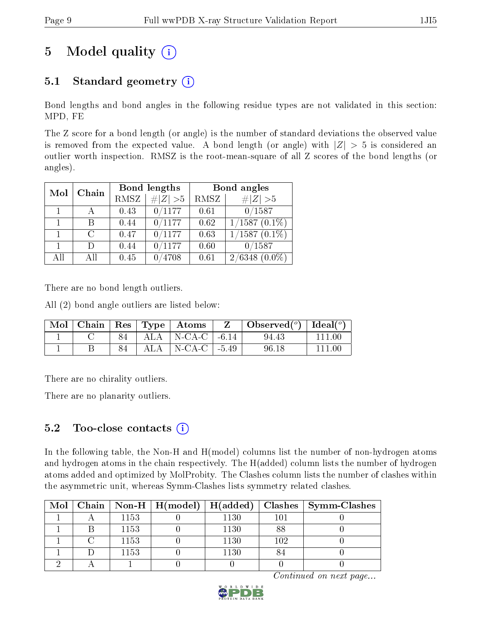# 5 Model quality  $(i)$

# 5.1 Standard geometry  $(i)$

Bond lengths and bond angles in the following residue types are not validated in this section: MPD, FE

The Z score for a bond length (or angle) is the number of standard deviations the observed value is removed from the expected value. A bond length (or angle) with  $|Z| > 5$  is considered an outlier worth inspection. RMSZ is the root-mean-square of all Z scores of the bond lengths (or angles).

| Mol | Chain                       |      | Bond lengths    | Bond angles |                     |  |
|-----|-----------------------------|------|-----------------|-------------|---------------------|--|
|     |                             | RMSZ | # $ Z  > 5$     | RMSZ        | # $ Z >5$           |  |
| 1   |                             | 0.43 | 0/1177          | 0.61        | 0/1587              |  |
|     | В                           | 0.44 | 0/1177          | 0.62        | $1/1587(0.1\%)$     |  |
| 1   | $\mathcal{C}_{\mathcal{C}}$ | 0.47 | 0/1177          | 0.63        | $1/1587$ $(0.1\%)$  |  |
| 1   | $\Box$                      | 0.44 | 0/1177          | 0.60        | 0/1587              |  |
| AH  | ΑH                          | 0.45 | $^{\prime}4708$ | 0.61        | 2/6348<br>$(0.0\%)$ |  |

There are no bond length outliers.

All (2) bond angle outliers are listed below:

|  |  | $\mid$ Mol $\mid$ Chain $\mid$ Res $\mid$ Type $\mid$ Atoms $\mid$ | $\vert$ Observed $\vert$ <sup>o</sup> ) $\vert$ Ideal $\vert$ <sup>o</sup> ) |         |
|--|--|--------------------------------------------------------------------|------------------------------------------------------------------------------|---------|
|  |  | 84   ALA   N-CA-C   -6.14                                          | 94.43                                                                        | 111 00  |
|  |  | $ALA$   N-CA-C   -5.49                                             | 96.18                                                                        | -111 00 |

There are no chirality outliers.

There are no planarity outliers.

### 5.2 Too-close contacts  $(i)$

In the following table, the Non-H and H(model) columns list the number of non-hydrogen atoms and hydrogen atoms in the chain respectively. The H(added) column lists the number of hydrogen atoms added and optimized by MolProbity. The Clashes column lists the number of clashes within the asymmetric unit, whereas Symm-Clashes lists symmetry related clashes.

|  |      |      |     | Mol   Chain   Non-H   H(model)   H(added)   Clashes   Symm-Clashes |
|--|------|------|-----|--------------------------------------------------------------------|
|  | 1153 | 1130 | 101 |                                                                    |
|  | 1153 | 1130 | 88  |                                                                    |
|  | 1153 | 1130 | 102 |                                                                    |
|  | 1153 | 1130 |     |                                                                    |
|  |      |      |     |                                                                    |

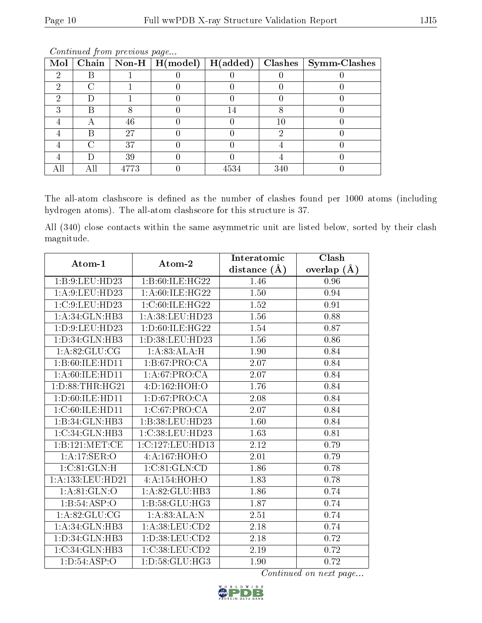| Mol |   |      | $\boxed{\text{Chain} \mid \text{Non-H} \mid \text{H}(\text{model})}$ | $H(\mathrm{added})$ |     | $\vert$ Clashes $\vert$ Symm-Clashes |
|-----|---|------|----------------------------------------------------------------------|---------------------|-----|--------------------------------------|
|     |   |      |                                                                      |                     |     |                                      |
|     |   |      |                                                                      |                     |     |                                      |
|     |   |      |                                                                      |                     |     |                                      |
|     |   |      |                                                                      |                     |     |                                      |
|     |   | 46   |                                                                      |                     | 10  |                                      |
|     | μ | 27   |                                                                      |                     |     |                                      |
|     |   | 37   |                                                                      |                     |     |                                      |
|     |   | 39   |                                                                      |                     |     |                                      |
|     |   | 4773 |                                                                      | 4534                | 340 |                                      |

The all-atom clashscore is defined as the number of clashes found per 1000 atoms (including hydrogen atoms). The all-atom clashscore for this structure is 37.

All (340) close contacts within the same asymmetric unit are listed below, sorted by their clash magnitude.

| Atom-1              | Atom-2             | Interatomic      | Clash         |
|---------------------|--------------------|------------------|---------------|
|                     |                    | distance $(\AA)$ | overlap $(A)$ |
| 1:B:9:LEU:HD23      | 1:B:60:ILE:HG22    | 1.46             | 0.96          |
| 1:A:9:LEU:HD23      | 1: A:60: ILE: HG22 | 1.50             | 0.94          |
| 1:C:9:LEU:HD23      | 1: C:60: ILE: HG22 | 1.52             | 0.91          |
| 1:A:34:GLN:HB3      | 1: A:38: LEU:HD23  | 1.56             | 0.88          |
| 1: D: 9: LEU: HD23  | 1: D:60: ILE: HG22 | 1.54             | 0.87          |
| 1: D: 34: GLN: HB3  | 1:D:38:LEU:HD23    | 1.56             | 0.86          |
| 1: A:82: GLU:CG     | 1:A:83:ALA:H       | 1.90             | 0.84          |
| 1:B:60:ILE:HD11     | 1:B:67:PRO:CA      | 2.07             | 0.84          |
| 1: A:60: ILE: HD11  | 1:A:67:PRO:CA      | 2.07             | 0.84          |
| 1: D: 88: THR: HG21 | 4:D:162:HOH:O      | 1.76             | 0.84          |
| 1: D:60: ILE: HD11  | 1: D:67: PRO:CA    | 2.08             | 0.84          |
| 1:C:60:ILE:HD11     | 1:C:67:PRO:CA      | 2.07             | 0.84          |
| 1:B:34:GLN:HB3      | 1:B:38:LEU:HD23    | 1.60             | 0.84          |
| 1: C: 34: GLN: HB3  | 1:C:38:LEU:HD23    | 1.63             | 0.81          |
| 1:B:121:MET:CE      | 1:C:127:LEU:HD13   | 2.12             | 0.79          |
| 1:A:17:SER:O        | 4:A:167:HOH:O      | 2.01             | 0.79          |
| 1:C:81:GLN:H        | 1:C:81:GLN:CD      | 1.86             | 0.78          |
| 1:A:133:LEU:HD21    | 4:A:154:HOH:O      | 1.83             | 0.78          |
| 1: A:81: GLN:O      | 1: A:82: GLU:HB3   | 1.86             | 0.74          |
| 1:B:54:ASP:O        | 1:B:58:GLU:HG3     | 1.87             | 0.74          |
| 1:A:82:GLU:CG       | 1:A:83:ALA:N       | 2.51             | 0.74          |
| 1: A:34: GLN:HB3    | 1: A:38:LEU:CD2    | 2.18             | 0.74          |
| 1: D: 34: GLN: HB3  | 1: D: 38: LEU: CD2 | 2.18             | 0.72          |
| 1:C:34:GLN:HB3      | 1:C:38:LEU:CD2     | 2.19             | 0.72          |
| 1: D: 54: ASP:O     | 1: D: 58: GLU: HG3 | 1.90             | 0.72          |

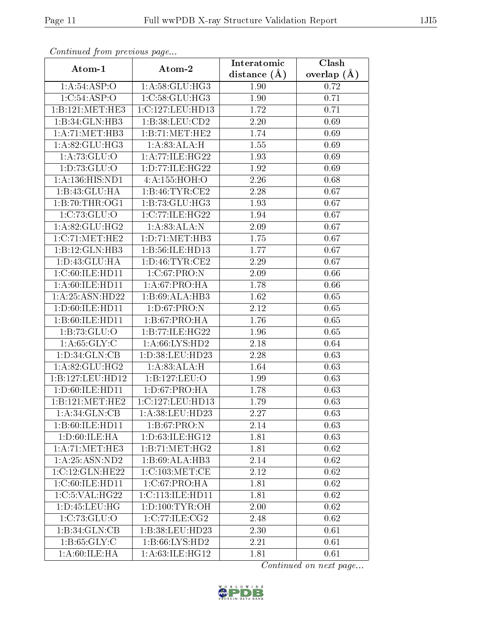| Communa from previous page |                     | Interatomic    | $\overline{\text{Clash}}$ |
|----------------------------|---------------------|----------------|---------------------------|
| Atom-1                     | Atom-2              | distance $(A)$ | overlap $(A)$             |
| 1:A:54:ASP:O               | 1: A:58: GLU:HG3    | 1.90           | 0.72                      |
| 1:C:54:ASP:O               | 1: C:58: GLU: HG3   | 1.90           | 0.71                      |
| 1:B:121:MET:HE3            | 1:C:127:LEU:HD13    | 1.72           | 0.71                      |
| 1:B:34:GLN:HB3             | 1: B:38: LEU:CD2    | 2.20           | 0.69                      |
| 1: A: 71: MET: HB3         | 1:B:71:MET:HE2      | 1.74           | 0.69                      |
| 1: A:82: GLU:HG3           | 1:A:83:ALA:H        | 1.55           | 0.69                      |
| 1: A: 73: GLU:O            | 1: A:77: ILE:HG22   | 1.93           | 0.69                      |
| 1: D: 73: GLU: O           | 1: D: 77: ILE: HG22 | 1.92           | 0.69                      |
| 1: A: 136: HIS: ND1        | 4:A:155:HOH:O       | 2.26           | 0.68                      |
| 1:B:43:GLU:HA              | 1: B:46: TYR: CE2   | 2.28           | 0.67                      |
| 1:B:70:THR:OG1             | 1:B:73:GLU:HG3      | 1.93           | 0.67                      |
| 1:C:73:GLU:O               | 1:C:77:ILE:HG22     | 1.94           | 0.67                      |
| 1:A:82:GLU:HG2             | 1:A:83:ALA:N        | 2.09           | 0.67                      |
| 1:C:71:MET:HE2             | 1:D:71:MET:HB3      | 1.75           | 0.67                      |
| 1:B:12:GLN:HB3             | 1:B:56:ILE:HD13     | 1.77           | 0.67                      |
| 1:D:43:GLU:HA              | 1: D: 46: TYR: CE2  | 2.29           | 0.67                      |
| 1:C:60:ILE:HD11            | 1:C:67:PRO:N        | 2.09           | 0.66                      |
| 1: A:60: ILE: HD11         | 1: A:67: PRO:HA     | 1.78           | 0.66                      |
| 1:A:25:ASN:HD22            | 1:B:69:ALA:HB3      | 1.62           | 0.65                      |
| 1:D:60:ILE:HD11            | 1: D:67: PRO: N     | 2.12           | 0.65                      |
| 1:B:60:ILE:HD11            | 1: B:67: PRO:HA     | 1.76           | 0.65                      |
| 1:B:73:GLU:O               | 1:B:77:ILE:HG22     | 1.96           | 0.65                      |
| 1: A:65: GLY: C            | 1:A:66:LYS:HD2      | 2.18           | 0.64                      |
| 1: D: 34: GLN: CB          | 1:D:38:LEU:HD23     | 2.28           | 0.63                      |
| 1:A:82:GLU:HG2             | 1:A:83:ALA:H        | 1.64           | 0.63                      |
| 1:B:127:LEU:HD12           | 1:B:127:LEU:O       | 1.99           | 0.63                      |
| 1:D:60:ILE:HD11            | 1: D:67: PRO:HA     | 1.78           | 0.63                      |
| 1:B:121:MET:HE2            | 1:C:127:LEU:HD13    | 1.79           | 0.63                      |
| 1:A:34:GLN:CB              | 1:A:38:LEU:HD23     | 2.27           | 0.63                      |
| 1:B:60:ILE:HD11            | 1:B:67:PRO:N        | 2.14           | 0.63                      |
| 1: D:60: ILE: HA           | 1:D:63:ILE:HG12     | 1.81           | 0.63                      |
| 1: A:71:MET:HE3            | 1:B:71:MET:HG2      | 1.81           | 0.62                      |
| 1: A:25: ASN:ND2           | 1:B:69:ALA:HB3      | 2.14           | 0.62                      |
| 1:C:12:GLN:HE22            | 1:C:103:MET:CE      | 2.12           | 0.62                      |
| 1: C:60: ILE:HD11          | 1:C:67:PRO:HA       | 1.81           | 0.62                      |
| 1:C:5:VAL:HG22             | 1:C:113:ILE:HD11    | 1.81           | 0.62                      |
| 1: D: 45: LEU: HG          | 1: D: 100: TYR: OH  | 2.00           | 0.62                      |
| 1:C:73:GLU:O               | 1:C:77:ILE:CG2      | 2.48           | 0.62                      |
| 1:B:34:GLN:CB              | 1:B:38:LEU:HD23     | 2.30           | 0.61                      |
| 1: B:65: GLY: C            | 1: B:66: LYS: HD2   | 2.21           | 0.61                      |
| 1: A:60: ILE: HA           | 1:A:63:ILE:HG12     | 1.81           | 0.61                      |

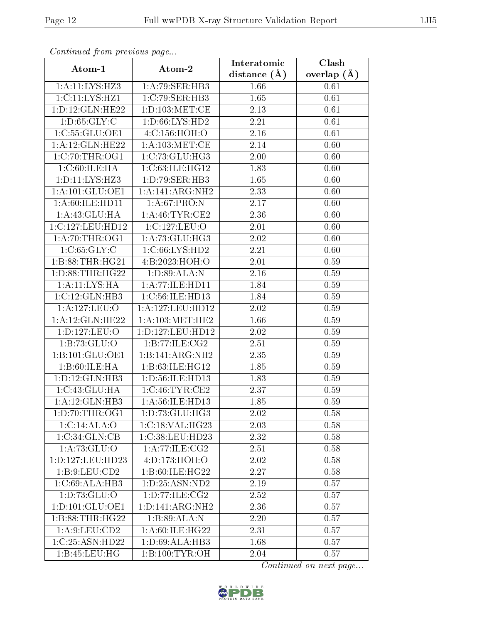| Communica from previous page |                      | Interatomic       | Clash         |
|------------------------------|----------------------|-------------------|---------------|
| Atom-1                       | Atom-2               | distance $(A)$    | overlap $(A)$ |
| 1:A:11:LYS:HZ3               | 1:A:79:SER:HB3       | 1.66              | 0.61          |
| 1:C:11:LYS:HZ1               | 1:C:79:SER:HB3       | 1.65              | 0.61          |
| 1: D: 12: GLN: HE22          | 1: D: 103: MET: CE   | 2.13              | 0.61          |
| 1: D:65: GLY: C              | 1: D:66: LYS: HD2    | 2.21              | 0.61          |
| 1:C:55:GLU:OE1               | 4:C:156:HOH:O        | 2.16              | 0.61          |
| 1: A:12: GLN: HE22           | 1: A:103:MET:CE      | 2.14              | 0.60          |
| 1:C:70:THR:OG1               | 1:C:73:GLU:HG3       | 2.00              | 0.60          |
| 1:C:60:ILE:HA                | 1:C:63:ILE:HG12      | 1.83              | 0.60          |
| 1: D: 11: LYS: HZ3           | 1:D:79:SER:HB3       | 1.65              | 0.60          |
| 1: A: 101: GLU: OE1          | 1:A:141:ARG:NH2      | 2.33              | 0.60          |
| 1:A:60:ILE:HD11              | 1:A:67:PRO:N         | 2.17              | 0.60          |
| 1:A:43:GLU:HA                | 1: A:46: TYR:CE2     | 2.36              | 0.60          |
| 1:C:127:LEU:HD12             | 1:C:127:LEU:O        | 2.01              | 0.60          |
| 1: A:70:THR:OG1              | 1: A:73: GLU:HG3     | 2.02              | 0.60          |
| 1:C:65:GLY:C                 | 1:C:66:LYS:HD2       | 2.21              | 0.60          |
| 1:B:88:THR:HG21              | 4:B:2023:HOH:O       | 2.01              | 0.59          |
| 1: D: 88: THR: HG22          | 1:D:89:ALA:N         | 2.16              | 0.59          |
| 1:A:11:LYS:HA                | 1: A:77: ILE: HD11   | 1.84              | 0.59          |
| 1:C:12:GLN:HB3               | 1:C:56:ILE:HD13      | 1.84              | 0.59          |
| 1:A:127:LEU:O                | 1: A: 127: LEU: HD12 | 2.02              | 0.59          |
| 1: A:12: GLN: HE22           | 1: A: 103:MET:HE2    | 1.66              | 0.59          |
| 1:D:127:LEU:O                | 1:D:127:LEU:HD12     | 2.02              | 0.59          |
| 1:B:73:GLU:O                 | 1:B:77:ILE:CG2       | 2.51              | 0.59          |
| 1:B:101:GLU:OE1              | 1:B:141:ARG:NH2      | 2.35              | 0.59          |
| 1:B:60:ILE:HA                | 1:B:63:ILE:HG12      | 1.85              | 0.59          |
| 1: D: 12: GLN: HB3           | 1: D:56: ILE: HD13   | 1.83              | 0.59          |
| 1: C:43: GLU:HA              | 1:C:46:TYR:CE2       | 2.37              | 0.59          |
| 1:A:12:GLN:HB3               | 1:A:56:ILE:HD13      | 1.85              | 0.59          |
| 1: D: 70: THR: OG1           | 1: D: 73: GLU: HG3   | 2.02              | 0.58          |
| 1:C:14:ALA:O                 | 1:C:18:VAL:HG23      | 2.03              | 0.58          |
| 1:C:34:GLN:CB                | 1:C:38:LEU:HD23      | 2.32              | 0.58          |
| 1: A: 73: GLU:O              | 1:A:77:ILE:CG2       | 2.51              | 0.58          |
| 1:D:127:LEU:HD23             | 4:D:173:HOH:O        | 2.02              | 0.58          |
| 1: B: 9: LEU: CD2            | 1:B:60:ILE:HG22      | $2.\overline{27}$ | 0.58          |
| 1:C:69:ALA:HB3               | 1:D:25:ASN:ND2       | 2.19              | 0.57          |
| 1:D:73:GLU:O                 | 1: D: 77: ILE: CG2   | 2.52              | 0.57          |
| 1: D: 101: GLU: OE1          | 1:D:141:ARG:NH2      | 2.36              | 0.57          |
| 1:B:88:THR:HG22              | 1:B:89:ALA:N         | 2.20              | 0.57          |
| 1: A:9: LEU: CD2             | 1: A:60: ILE: HG22   | 2.31              | 0.57          |
| 1:C:25:ASN:HD22              | 1: D:69: ALA:HB3     | 1.68              | 0.57          |
| 1:B:45:LEU:HG                | 1:B:100:TYR:OH       | 2.04              | 0.57          |

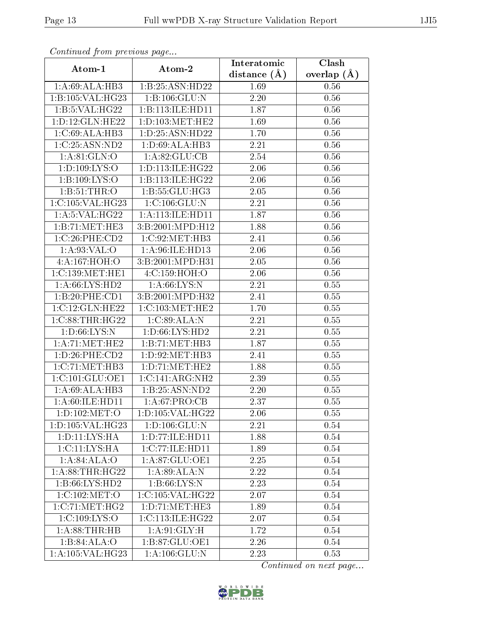| Communica from previous page |                                | Interatomic    | Clash           |
|------------------------------|--------------------------------|----------------|-----------------|
| Atom-1                       | Atom-2                         | distance $(A)$ | overlap $(\AA)$ |
| 1: A:69: ALA:HB3             | 1:B:25:ASN:HD22                | 1.69           | 0.56            |
| 1:B:105:VAL:HG23             | 1: B: 106: GLU: N              | 2.20           | 0.56            |
| 1:B:5:VAL:HG22               | 1:B:113:ILE:HD11               | 1.87           | 0.56            |
| 1: D: 12: GLN: HE22          | 1: D: 103: MET: HE2            | 1.69           | 0.56            |
| 1:C:69:ALA:HB3               | 1: D: 25: ASN: HD22            | 1.70           | 0.56            |
| 1:C:25:ASN:ND2               | 1:D:69:ALA:HB3                 | 2.21           | 0.56            |
| 1: A:81: GLN:O               | 1: A:82: GLU:CB                | 2.54           | 0.56            |
| 1: D: 109: LYS: O            | 1: D: 113: ILE: HG22           | 2.06           | 0.56            |
| 1:B:109:LYS:O                | 1:B:113:ILE:HG22               | 2.06           | 0.56            |
| 1: B: 51: THR: O             | 1: B: 55: GLU: HG3             | 2.05           | 0.56            |
| 1:C:105:VAL:HG23             | 1:C:106:GLU:N                  | 2.21           | 0.56            |
| 1:A:5:VAL:HG22               | 1: A:113: ILE: HD11            | 1.87           | 0.56            |
| 1:B:71:MET:HE3               | 3:B:2001:MPD:H12               | 1.88           | 0.56            |
| 1:C:26:PHE:CD2               | 1:C:92:MET:HB3                 | 2.41           | 0.56            |
| 1: A:93: VAL:O               | 1:A:96:ILE:HD13                | 2.06           | 0.56            |
| 4:A:167:HOH:O                | 3:B:2001:MPD:H31               | 2.05           | 0.56            |
| 1:C:139:MET:HE1              | $4:$ C:159:HOH:O               | 2.06           | 0.56            |
| 1: A:66: LYS: HD2            | 1: A:66: LYS: N                | 2.21           | 0.55            |
| 1:B:20:PHE:CD1               | 3:B:2001:MPD:H32               | 2.41           | 0.55            |
| 1:C:12:GLN:HE22              | 1:C:103:MET:HE2                | 1.70           | 0.55            |
| 1:C:88:THR:HG22              | 1:C:89:ALA:N                   | 2.21           | 0.55            |
| 1: D:66: LYS:N               | 1:D:66:LYS:HD2                 | 2.21           | 0.55            |
| 1: A:71: MET:HE2             | 1:B:71:MET:HB3                 | 1.87           | 0.55            |
| 1:D:26:PHE:CD2               | 1: D:92:MET:HB3                | 2.41           | 0.55            |
| 1:C:71:MET:HB3               | 1: D: 71: MET: HE2             | 1.88           | 0.55            |
| 1:C:101:GLU:OE1              | 1:C:141:ARG:NH2                | 2.39           | 0.55            |
| 1:A:69:ALA:HB3               | 1:B:25:ASN:ND2                 | 2.20           | 0.55            |
| 1: A:60: ILE: HD11           | 1:A:67:PRO:CB                  | 2.37           | 0.55            |
| 1:D:102:MET:O                | 1:D:105:VAL:HG22               | 2.06           | 0.55            |
| 1:D:105:VAL:HG23             | 1: D: 106: GLU:N               | 2.21           | 0.54            |
| 1: D: 11: LYS: HA            | 1: D: 77: ILE: HD11            | 1.88           | 0.54            |
| 1:C:11:LYS:HA                | 1:C:77:ILE:HD11                | 1.89           | 0.54            |
| 1:A:84:ALA:O                 | 1:A:87:GLU:OE1                 | 2.25           | 0.54            |
| 1: A:88:THR:HG22             | 1:A:89:ALA:N                   | 2.22           | 0.54            |
| 1:B:66:LYS:HD2               | 1: B:66: LYS:N                 | 2.23           | 0.54            |
| 1:C:102:MET:O                | 1:C:105:VAL:HG22               | 2.07           | 0.54            |
| 1:C:71:MET:HG2               | 1: D: 71: MET: HE3             | 1.89           | 0.54            |
| 1:C:109:LYS:O                | 1:C:113:ILE:HG22               | 2.07           | 0.54            |
| 1:A:88:THR:HB                | 1: A:91: GLY: H                | 1.72           | 0.54            |
| 1:B:84:ALA:O                 | 1:B:87:GLU:OE1                 | 2.26           | 0.54            |
| 1:A:105:VAL:HG23             | $1: A: 106: \overline{GLU: N}$ | 2.23           | 0.53            |

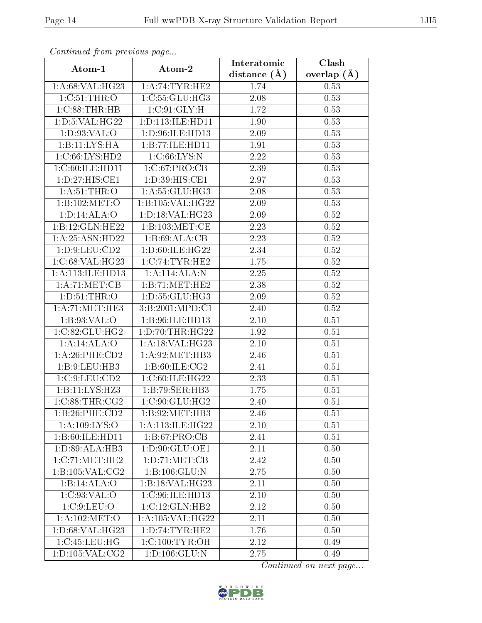| Communica from previous page |                                                        | Interatomic       | Clash           |
|------------------------------|--------------------------------------------------------|-------------------|-----------------|
| Atom-1                       | Atom-2                                                 | distance $(A)$    | overlap $(\AA)$ |
| 1: A:68: VAL:HG23            | 1:A:74:TYR:HE2                                         | 1.74              | 0.53            |
| 1:C:51:THR:O                 | 1:C:55:GLU:HG3                                         | 2.08              | 0.53            |
| 1:C:88:THR:HB                | 1: C:91: GLY: H                                        | 1.72              | 0.53            |
| 1:D:5:VAL:HG22               | 1:D:113:ILE:HD11                                       | 1.90              | 0.53            |
| 1: D: 93: VAL: O             | 1: D:96: ILE: HD13                                     | 2.09              | 0.53            |
| 1:B:11:LYS:HA                | 1:B:77:ILE:HD11                                        | 1.91              | 0.53            |
| 1: C:66: LYS: HD2            | 1:C:66:LYS:N                                           | 2.22              | 0.53            |
| 1:C:60:ILE:HD11              | 1:C:67:PRO:CB                                          | 2.39              | 0.53            |
| 1: D: 27: HIS: CE1           | 1:D:39:HIS:CE1                                         | 2.97              | 0.53            |
| 1: A:51:THR:O                | 1:A:55:GLU:HG3                                         | 2.08              | 0.53            |
| 1:B:102:MET:O                | 1:B:105:VAL:HG22                                       | 2.09              | 0.53            |
| 1: D: 14: ALA: O             | 1: D: 18: VAL: HG23                                    | 2.09              | $0.52\,$        |
| 1:B:12:GLN:HE22              | 1:B:103:MET:CE                                         | 2.23              | $0.52\,$        |
| 1:A:25:ASN:HD22              | 1:B:69:ALA:CB                                          | 2.23              | 0.52            |
| 1: D: 9: LEU: CD2            | 1: D:60: ILE: HG22                                     | 2.34              | $0.52\,$        |
| 1:C:68:VAL:HG23              | 1:C:74:TYR:HE2                                         | 1.75              | 0.52            |
| 1:A:113:ILE:HD13             | 1:A:114:ALA:N                                          | $\overline{2.25}$ | 0.52            |
| 1: A:71: MET:CB              | 1:B:71:MET:HE2                                         | 2.38              | 0.52            |
| 1: D:51:THR:O                | 1: D: 55: GLU: HG3                                     | 2.09              | 0.52            |
| 1: A:71: MET:HE3             | 3:B:2001:MPD:C1                                        | 2.40              | 0.52            |
| 1:B:93:VAL:O                 | 1:B:96:ILE:HD13                                        | 2.10              | 0.51            |
| 1:C:82:GLU:HG2               | 1: D: 70: THR: HG22                                    | 1.92              | 0.51            |
| 1:A:14:ALA:O                 | 1:A:18:VAL:HG23                                        | 2.10              | 0.51            |
| $1: A:26:$ PHE: $CD2$        | 1: A:92:MET:HB3                                        | 2.46              | 0.51            |
| 1:B:9:LEU:HB3                | 1: B:60: ILE: CG2                                      | 2.41              | 0.51            |
| 1: C: 9: LEU: CD2            | 1:C:60:ILE:HG22                                        | 2.33              | 0.51            |
| 1:B:11:LYS:HZ3               | 1:B:79:SER:HB3                                         | 1.75              | 0.51            |
| 1:C:88:THR:CG2               | $1:\mathrm{C}:90:\mathrm{GLU}:\overline{\mathrm{HG2}}$ | 2.40              | 0.51            |
| 1:B:26:PHE:CD2               | 1:B:92:MET:HB3                                         | 2.46              | 0.51            |
| 1: A:109: LYS:O              | 1:A:113:ILE:HG22                                       | 2.10              | 0.51            |
| 1:B:60:ILE:HD11              | 1: B:67: PRO:CB                                        | 2.41              | 0.51            |
| 1:D:89:ALA:HB3               | 1:D:90:GLU:OE1                                         | 2.11              | 0.50            |
| 1:C:71:MET:HE2               | 1:D:71:MET:CB                                          | 2.42              | 0.50            |
| 1:B:105:VAL:CG2              | 1: B: 106: GLU: N                                      | 2.75              | 0.50            |
| 1:B:14:ALA:O                 | 1:B:18:VAL:HG23                                        | 2.11              | 0.50            |
| 1:C:93:VAL:O                 | 1:C:96:ILE:HD13                                        | 2.10              | 0.50            |
| 1:C:9:LEU:O                  | 1:C:12:GLN:HB2                                         | 2.12              | 0.50            |
| 1: A: 102: MET:O             | 1:A:105:VAL:HG22                                       | 2.11              | 0.50            |
| 1: D:68: VAL:HG23            | 1: D: 74: TYR: HE2                                     | 1.76              | 0.50            |
| 1:C:45:LEU:HG                | 1:C:100:TYR:OH                                         | 2.12              | 0.49            |
| 1:D:105:VAL:CG2              | $1: D: 106: \overline{GLU: N}$                         | 2.75              | 0.49            |

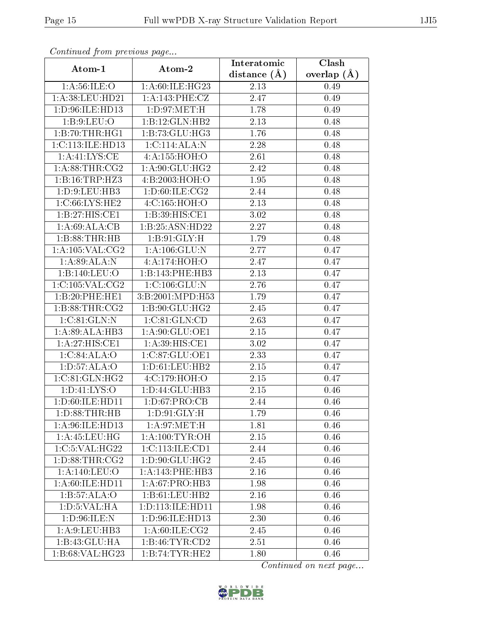| Comunaca jiom previous page |                              | Interatomic    | Clash           |
|-----------------------------|------------------------------|----------------|-----------------|
| Atom-1                      | Atom-2                       | distance $(A)$ | overlap $(\AA)$ |
| 1: A:56: ILE:O              | 1:A:60:ILE:HG23              | 2.13           | 0.49            |
| 1: A:38: LEU: HD21          | 1:A:143:PHE:CZ               | 2.47           | 0.49            |
| 1: D: 96: ILE: HD13         | 1: D:97: MET:H               | 1.78           | 0.49            |
| 1: B: 9: LEU: O             | 1:B:12:GLN:HB2               | 2.13           | 0.48            |
| 1:B:70:THR:HGI              | 1:B:73:GLU:HG3               | 1.76           | 0.48            |
| 1: C: 113: ILE: HD13        | 1: C: 114: ALA: N            | 2.28           | 0.48            |
| 1: A: 41: LYS: CE           | 4:A:155:HOH:O                | 2.61           | 0.48            |
| 1: A:88:THR:CG2             | 1: A:90: GLU: HG2            | 2.42           | 0.48            |
| 1:B:16:TRP:HZ3              | 4:B:2003:HOH:O               | 1.95           | 0.48            |
| 1: D: 9: LEU: HB3           | 1: D:60: ILE: CG2            | 2.44           | 0.48            |
| 1:C:66:LYS:HE2              | 4:C:165:HOH:O                | 2.13           | 0.48            |
| 1:B:27:HIS:CE1              | 1:B:39:HIS:CE1               | 3.02           | 0.48            |
| 1:A:69:ALA:CB               | 1:B:25:ASN:HD22              | 2.27           | 0.48            |
| 1:B:88:THR:HB               | 1: B:91: GLY: H              | 1.79           | 0.48            |
| 1:A:105:VAL:CG2             | 1: A: 106: GLU: N            | 2.77           | 0.47            |
| 1:A:89:ALA:N                | 4:A:174:HOH:O                | 2.47           | 0.47            |
| 1:B:140:LEU:O               | 1:B:143:PHE:HB3              | 2.13           | 0.47            |
| 1:C:105:VAL:CG2             | 1:C:106:GLU:N                | 2.76           | 0.47            |
| 1:B:20:PHE:HE1              | 3:B:2001:MPD:H53             | 1.79           | 0.47            |
| 1: B:88:THR:CG2             | 1:B:90:GLU:HG2               | 2.45           | 0.47            |
| 1: C:81: GLN:N              | 1: C:81: GLN:CD              | 2.63           | 0.47            |
| 1:A:89:ALA:HB3              | 1:A:90:GLU:OE1               | 2.15           | 0.47            |
| 1: A:27: HIS: CE1           | 1:A:39:HIS:CE1               | 3.02           | 0.47            |
| 1:C:84:ALA:O                | 1:C:87:GLU:OE1               | 2.33           | 0.47            |
| 1: D: 57: ALA: O            | 1: D: 61: LEU: HB2           | 2.15           | 0.47            |
| 1:C:81:GLN:HG2              | 4: C:179: HOH:O              | 2.15           | 0.47            |
| 1: D: 41: LYS: O            | 1:D:44:GLU:HB3               | 2.15           | 0.46            |
| 1: D:60: ILE: HD11          | 1: D:67: PRO:CB              | 2.44           | 0.46            |
| 1: D: 88: THR: HB           | $1: D:91: GLY: \overline{H}$ | 1.79           | 0.46            |
| 1:A:96:ILE:HD13             | 1: A:97: MET:H               | 1.81           | 0.46            |
| 1: A: 45: LEU: HG           | 1: A:100:TYR:OH              | 2.15           | 0.46            |
| 1:C:5:VAL:HG22              | 1:C:113:ILE:CD1              | 2.44           | 0.46            |
| 1: D:88: THR:CG2            | 1: D: 90: GLU: HG2           | 2.45           | 0.46            |
| 1:A:140:LEU:O               | 1: A:143:PHE:HB3             | 2.16           | 0.46            |
| 1: A:60: ILE: HD11          | 1: A:67: PRO:HB3             | 1.98           | 0.46            |
| 1:B:57:ALA:O                | 1:B:61:LEU:HB2               | 2.16           | 0.46            |
| 1: D: 5: VAL: HA            | 1:D:113:ILE:HD11             | 1.98           | 0.46            |
| 1: D:96: ILE:N              | 1:D:96:ILE:HD13              | 2.30           | 0.46            |
| 1: A:9: LEU: HB3            | 1: A:60: ILE: CG2            | 2.45           | 0.46            |
| 1:B:43:GLU:HA               | 1: B: 46: TYR: CD2           | 2.51           | 0.46            |
| 1:B:68:VAL:HG23             | 1:B:74:TYR:HE2               | 1.80           | 0.46            |

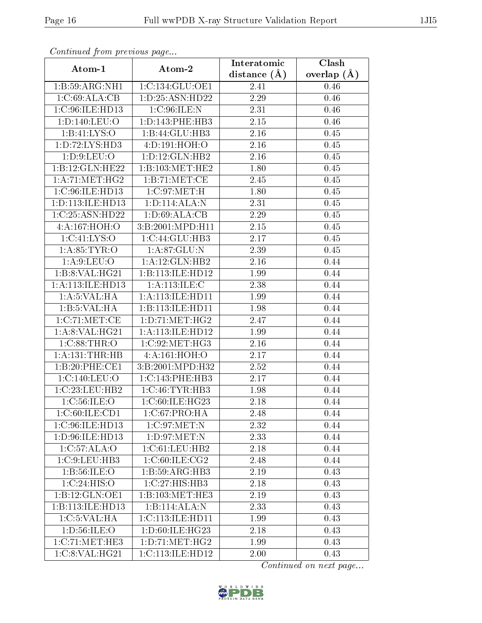| Continued from previous page |                                      | Interatomic    | Clash           |
|------------------------------|--------------------------------------|----------------|-----------------|
| Atom-1                       | Atom-2                               | distance $(A)$ | overlap $(\AA)$ |
| 1:B:59:ARG:NH1               | 1:C:134:GLU:OE1                      | 2.41           | 0.46            |
| 1:C:69:ALA:CB                | 1: D: 25: ASN: HD22                  | 2.29           | 0.46            |
| 1:C:96:ILE:HD13              | 1:C:96:ILE:N                         | 2.31           | 0.46            |
| 1:D:140:LEU:O                | 1: D: 143: PHE: HB3                  | 2.15           | 0.46            |
| 1:B:41:LYS:O                 | 1:B:44:GLU:HB3                       | 2.16           | 0.45            |
| 1: D: 72: LYS: HD3           | 4:D:191:HOH:O                        | 2.16           | 0.45            |
| 1: D: 9: LEU: O              | 1: D: 12: GLN: HB2                   | 2.16           | 0.45            |
| 1:B:12:GLN:HE22              | 1: B: 103: MET: HE2                  | 1.80           | 0.45            |
| 1: A:71: MET:HG2             | 1:B:71:MET:CE                        | 2.45           | 0.45            |
| 1:C:96:ILE:HD13              | 1:C:97:MET:H                         | 1.80           | 0.45            |
| 1:D:113:ILE:HD13             | 1:D:114:ALA:N                        | 2.31           | 0.45            |
| 1:C:25:ASN:HD22              | 1: D:69: ALA:CB                      | 2.29           | 0.45            |
| 4:A:167:HOH:O                | 3:B:2001:MPD:H11                     | 2.15           | 0.45            |
| 1:C:41:LYS:O                 | $1:C:44:G\overline{\mathrm{LU:HB3}}$ | 2.17           | 0.45            |
| 1: A:85:TYR:O                | 1: A:87: GLU: N                      | 2.39           | 0.45            |
| 1: A:9: LEU:O                | 1:A:12:GLN:HB2                       | 2.16           | 0.44            |
| 1:B:8:VAL:HG21               | 1:B:113:ILE:HD12                     | 1.99           | 0.44            |
| 1: A:113: ILE: HD13          | 1: A:113: ILE:C                      | 2.38           | 0.44            |
| 1: A:5:VAL:HA                | 1: A:113: ILE: HDI1                  | 1.99           | 0.44            |
| 1:B:5:VAL:HA                 | 1:B:113:ILE:HD11                     | 1.98           | 0.44            |
| 1:C:71:MET:CE                | 1: D: 71: MET:HG2                    | 2.47           | 0.44            |
| 1: A:8: VAL:HG21             | 1: A:113: ILE: HD12                  | 1.99           | 0.44            |
| 1:C:88:THR:O                 | 1:C:92:MET:HG3                       | 2.16           | 0.44            |
| 1: A: 131: THEN: HB          | 4:A:161:HOH:O                        | 2.17           | 0.44            |
| 1:B:20:PHE:CE1               | 3:B:2001:MPD:H32                     | 2.52           | 0.44            |
| 1:C:140:LEU:O                | 1:C:143:PHE:HB3                      | 2.17           | 0.44            |
| 1:C:23:LEU:HB2               | 1:C:46:TYR:HB3                       | 1.98           | 0.44            |
| 1: C:56: ILE: O              | 1:C:60:ILE:HG23                      | 2.18           | 0.44            |
| 1:C:60:ILE:CD1               | 1:C:67:PRO:HA                        | 2.48           | 0.44            |
| 1:C:96:ILE:HD13              | 1:C:97:MET:N                         | 2.32           | 0.44            |
| 1: D: 96: ILE: HD13          | 1: D:97: MET:N                       | 2.33           | 0.44            |
| 1:C:57:ALA:O                 | 1:C:61:LEU:HB2                       | 2.18           | 0.44            |
| 1:C:9:LEU:HB3                | 1:C:60:ILE:CG2                       | 2.48           | 0.44            |
| 1:B:56:ILE:O                 | 1:B:59:ARG:HB3                       | 2.19           | 0.43            |
| 1:C:24:HIS:O                 | 1:C:27:HIS:HB3                       | 2.18           | 0.43            |
| 1:B:12:GLN:OE1               | 1:B:103:MET:HE3                      | 2.19           | 0.43            |
| 1:B:113:ILE:HD13             | 1:B:114:ALA:N                        | 2.33           | 0.43            |
| 1:C:5:VAL:HA                 | 1:C:113:ILE:HD11                     | 1.99           | 0.43            |
| 1: D: 56: ILE: O             | 1: D:60: ILE: HG23                   | 2.18           | 0.43            |
| 1:C:71:MET:HE3               | 1: D: 71: MET:HG2                    | 1.99           | 0.43            |
| 1:C:8:VAL:HG21               | 1:C:113:ILE:HD12                     | 2.00           | 0.43            |

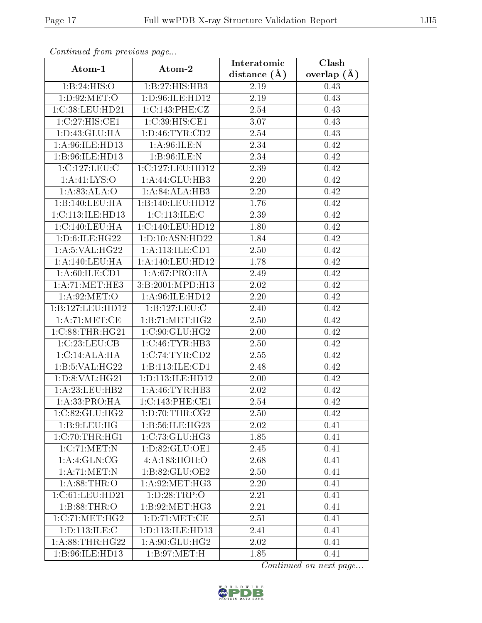| Continued from previous page |                      | Interatomic    | $\overline{\text{Clash}}$ |
|------------------------------|----------------------|----------------|---------------------------|
| Atom-1                       | Atom-2               | distance $(A)$ | overlap $(\AA)$           |
| 1:B:24:HIS:O                 | 1:B:27:HIS:HB3       | 2.19           | 0.43                      |
| 1: D:92: MET:O               | 1: D:96: ILE: HD12   | 2.19           | 0.43                      |
| 1:C:38:LEU:HD21              | 1:C:143:PHE:CZ       | 2.54           | 0.43                      |
| 1:C:27:HIS:CE1               | 1:C:39:HIS:CE1       | 3.07           | 0.43                      |
| 1:D:43:GLU:HA                | 1: D: 46: TYR: CD2   | 2.54           | 0.43                      |
| 1: A:96: ILE: HD13           | 1: A:96: ILE:N       | 2.34           | 0.42                      |
| 1:B:96:ILE:HD13              | 1: B:96: ILE:N       | 2.34           | 0.42                      |
| 1:C:127:LEU:C                | 1:C:127:LEU:HD12     | 2.39           | 0.42                      |
| 1: A: 41: LYS: O             | 1:A:44:GLU:HB3       | 2.20           | 0.42                      |
| 1:A:83:ALA:O                 | 1:A:84:ALA:HB3       | 2.20           | 0.42                      |
| 1:B:140:LEU:HA               | 1:B:140:LEU:HD12     | 1.76           | 0.42                      |
| 1:C:113:ILE:HD13             | 1:C:113:ILE:C        | 2.39           | 0.42                      |
| 1:C:140:LEU:HA               | 1:C:140:LEU:HD12     | 1.80           | 0.42                      |
| 1:D:6:ILE:HG22               | 1: D: 10: ASN: HD22  | 1.84           | 0.42                      |
| 1:A:5:VAL:HG22               | 1:A:113:ILE:CD1      | 2.50           | 0.42                      |
| 1:A:140:LEU:HA               | 1: A:140: LEU: HD12  | 1.78           | 0.42                      |
| 1: A:60: ILE: CD1            | 1: A:67: PRO:HA      | 2.49           | 0.42                      |
| $1:A:71:MET:H\overline{E3}$  | 3:B:2001:MPD:H13     | $2.02\,$       | 0.42                      |
| 1: A:92:MET:O                | 1:A:96:ILE:HD12      | 2.20           | 0.42                      |
| 1:B:127:LEU:HD12             | 1:B:127:LEU:C        | 2.40           | 0.42                      |
| 1: A:71: MET:CE              | 1:B:71:MET:HG2       | 2.50           | 0.42                      |
| 1:C:88:THR:HG21              | 1:C:90:GLU:HG2       | 2.00           | 0.42                      |
| 1:C:23:LEU:CB                | 1:C:46:TYR:HB3       | 2.50           | 0.42                      |
| 1:C:14:ALA:HA                | 1:C:74:TYR:CD2       | 2.55           | 0.42                      |
| 1: B: 5: VAL: HG22           | 1:B:113:ILE:CD1      | 2.48           | 0.42                      |
| 1:D:8:VAL:HG21               | 1: D: 113: ILE: HD12 | 2.00           | 0.42                      |
| 1: A:23: LEU:HB2             | 1: A:46: TYR:HB3     | 2.02           | 0.42                      |
| 1:A:33:PRO:HA                | 1:C:143:PHE:CE1      | 2.54           | 0.42                      |
| 1:C:82:GLU:HG2               | 1: D: 70: THR: CG2   | 2.50           | 0.42                      |
| 1:B:9:LEU:HG                 | 1:B:56:ILE:HG23      | 2.02           | 0.41                      |
| 1:C:70:THR:HGI               | 1:C:73:GLU:HG3       | 1.85           | 0.41                      |
| 1:C:71:MET:N                 | 1:D:82:GLU:OE1       | 2.45           | 0.41                      |
| 1:A:4:GLN:CG                 | 4:A:183:HOH:O        | 2.68           | 0.41                      |
| 1: A:71: MET:N               | 1:B:82:GLU:OE2       | 2.50           | 0.41                      |
| 1:A:88:THR:O                 | 1: A:92:MET:HG3      | 2.20           | 0.41                      |
| 1:C:61:LEU:HD21              | 1:D:28:TRP:O         | 2.21           | 0.41                      |
| 1:B:88:THR:O                 | 1:B:92:MET:HG3       | 2.21           | 0.41                      |
| 1:C:71:MET:HG2               | 1: D: 71: MET: CE    | 2.51           | 0.41                      |
| 1: D: 113: ILE:C             | 1: D: 113: ILE: HD13 | 2.41           | 0.41                      |
| 1: A:88:THR:HG22             | 1: A:90: GLU: HG2    | 2.02           | 0.41                      |
| 1:B:96:ILE:HD13              | 1: B:97: MET:H       | 1.85           | 0.41                      |

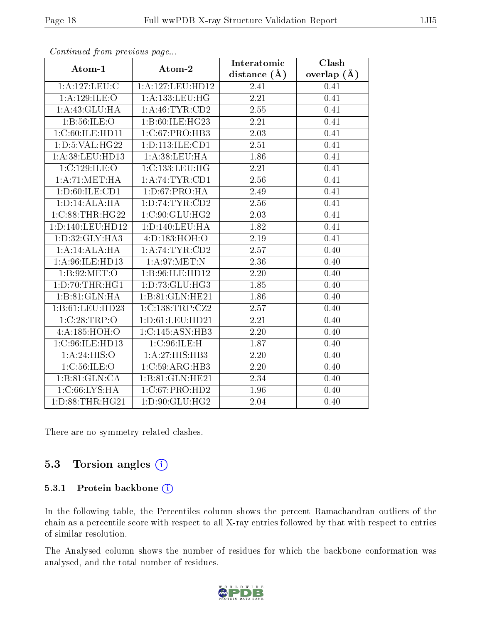|                     | $\cdots$ $\cdots$ $\cdots$ | Interatomic    | Clash         |
|---------------------|----------------------------|----------------|---------------|
| Atom-1              | Atom-2                     | distance $(A)$ | overlap $(A)$ |
| 1:A:127:LEU:C       | 1:A:127:LEU:HD12           | 2.41           | 0.41          |
| 1: A: 129: ILE: O   | 1:A:133:LEU:HG             | 2.21           | 0.41          |
| 1:A:43:GLU:HA       | 1: A: 46: TYR: CD2         | 2.55           | 0.41          |
| 1:B:56:ILE:O        | 1:B:60:ILE:HG23            | 2.21           | 0.41          |
| 1:C:60:ILE:HD11     | 1:C:67:PRO:HB3             | 2.03           | 0.41          |
| 1: D: 5: VAL: HG22  | 1: D: 113: ILE: CD1        | 2.51           | 0.41          |
| 1:A:38:LEU:HD13     | 1:A:38:LEU:HA              | 1.86           | 0.41          |
| 1:C:129:ILE:O       | 1:C:133:LEU:HG             | 2.21           | 0.41          |
| 1: A:71: MET:HA     | 1: A:74:TYR:CD1            | 2.56           | 0.41          |
| 1: D:60: ILE: CD1   | 1: D:67: PRO:HA            | 2.49           | 0.41          |
| 1: D: 14: ALA: HA   | 1: D: 74: TYR: CD2         | 2.56           | 0.41          |
| 1:C:88:THR:HG22     | 1:C:90:GLU:HG2             | 2.03           | 0.41          |
| 1:D:140:LEU:HD12    | 1: D: 140: LEU: HA         | 1.82           | 0.41          |
| 1:D:32:GLY:HA3      | 4:D:183:HOH:O              | 2.19           | 0.41          |
| 1:A:14:ALA:HA       | 1: A:74:TYR:CD2            | 2.57           | 0.40          |
| 1:A:96:ILE:HD13     | 1: A:97: MET:N             | 2.36           | 0.40          |
| 1: B:92:MET:O       | 1:B:96:ILE:HD12            | 2.20           | 0.40          |
| 1: D: 70: THR: HG1  | 1:D:73:GLU:HG3             | 1.85           | 0.40          |
| 1:B:81:GLN:HA       | 1:B:81:GLN:HE21            | 1.86           | 0.40          |
| 1:B:61:LEU:HD23     | 1:C:138:TRP:CZ2            | 2.57           | 0.40          |
| 1:C:28:TRP:O        | 1: D:61: LEU: HD21         | 2.21           | 0.40          |
| 4:A:185:HOH:O       | 1:C:145:ASN:HB3            | 2.20           | 0.40          |
| 1:C:96:ILE:HD13     | 1:C:96:ILE:H               | 1.87           | 0.40          |
| 1:A:24:HIS:O        | 1:A:27:HIS:HB3             | 2.20           | 0.40          |
| 1:C:56:ILE:O        | 1:C:59:ARG:HB3             | 2.20           | 0.40          |
| 1:B:81:GLN:CA       | 1:B:81:GLN:HE21            | 2.34           | 0.40          |
| 1:C:66:LYS:HA       | 1:C:67:PRO:HD2             | 1.96           | 0.40          |
| 1: D: 88: THR: HG21 | 1: D: 90: GLU: HG2         | 2.04           | 0.40          |

There are no symmetry-related clashes.

### 5.3 Torsion angles  $(i)$

#### 5.3.1 Protein backbone (i)

In the following table, the Percentiles column shows the percent Ramachandran outliers of the chain as a percentile score with respect to all X-ray entries followed by that with respect to entries of similar resolution.

The Analysed column shows the number of residues for which the backbone conformation was analysed, and the total number of residues.

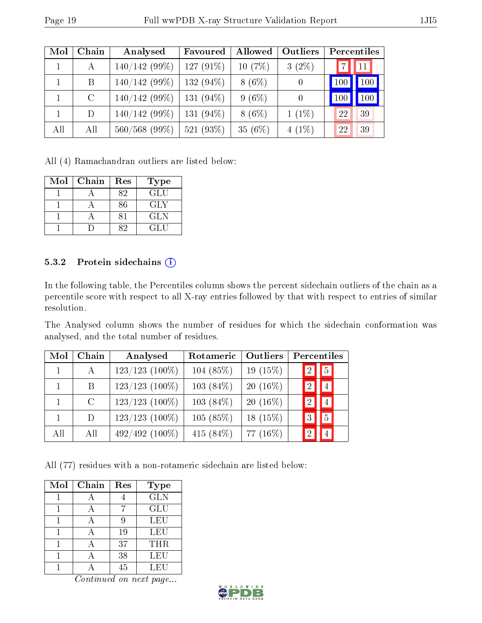| Mol | Chain   | Analysed        | Favoured     | Allowed  | Outliers         | Percentiles |
|-----|---------|-----------------|--------------|----------|------------------|-------------|
|     | А       | 140/142(99%)    | 127 $(91\%)$ | 10(7%)   | $3(2\%)$         | 11          |
|     | B       | $140/142(99\%)$ | 132 $(94\%)$ | $8(6\%)$ | $\theta$         | 100<br>100  |
|     | $\rm C$ | $140/142(99\%)$ | 131 $(94\%)$ | $9(6\%)$ | $\left( \right)$ | 100         |
|     | D       | $140/142(99\%)$ | 131 $(94\%)$ | $8(6\%)$ | $1(1\%)$         | 22<br>39    |
| All | All     | 560/568 (99%)   | 521 $(93\%)$ | 35(6%)   | $4(1\%)$         | 22<br>39    |

All (4) Ramachandran outliers are listed below:

| $\operatorname{Mol}$ | Chain | Res | <b>Type</b> |
|----------------------|-------|-----|-------------|
|                      |       | 82  | GLU         |
|                      |       | 86  | GLY         |
|                      |       |     | GLN         |
|                      |       |     | GLU         |

#### 5.3.2 Protein sidechains (i)

In the following table, the Percentiles column shows the percent sidechain outliers of the chain as a percentile score with respect to all X-ray entries followed by that with respect to entries of similar resolution.

The Analysed column shows the number of residues for which the sidechain conformation was analysed, and the total number of residues.

| Mol | Chain         | Analysed         | Rotameric    | Outliers   |    | Percentiles |  |
|-----|---------------|------------------|--------------|------------|----|-------------|--|
|     | A             | $123/123$ (100%) | 104 (85%)    | $19(15\%)$ | -2 | $\boxed{5}$ |  |
|     | B             | $123/123$ (100%) | $103(84\%)$  | $20(16\%)$ |    | 4           |  |
|     | $\mathcal{C}$ | $123/123$ (100%) | $103(84\%)$  | $20(16\%)$ |    |             |  |
|     | D             | $123/123$ (100%) | 105(85%)     | $18(15\%)$ |    | $5^{\circ}$ |  |
| All | All           | 492/492 (100%)   | 415 $(84\%)$ | 77 (16\%)  |    |             |  |

All (77) residues with a non-rotameric sidechain are listed below:

| Mol | Chain | Res    | <b>Type</b> |
|-----|-------|--------|-------------|
|     |       |        | <b>GLN</b>  |
|     |       |        | <b>GLU</b>  |
|     |       |        | <b>LEU</b>  |
|     |       | 19     | LEU         |
|     |       | 37     | THR         |
|     |       | 38     | LEU         |
|     |       | $45\,$ | LEU         |

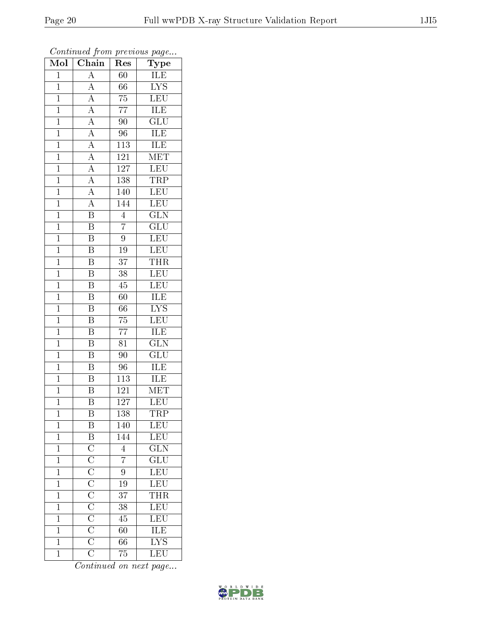| Mol            | Chain                                                                                                                                                                | $\operatorname{Res}% \left( \mathcal{N}\right) \equiv\operatorname{Res}(\mathcal{N}_{0})\cap\mathcal{N}_{1}$ | Type                                       |
|----------------|----------------------------------------------------------------------------------------------------------------------------------------------------------------------|--------------------------------------------------------------------------------------------------------------|--------------------------------------------|
| $\mathbf{1}$   | $\overline{A}$                                                                                                                                                       | 60                                                                                                           | ILE                                        |
| $\mathbf{1}$   | $\overline{A}$                                                                                                                                                       | 66                                                                                                           | $\overline{\text{LYS}}$                    |
| $\overline{1}$ | $\overline{A}$                                                                                                                                                       | $\overline{75}$                                                                                              | $\overline{\text{LEU}}$                    |
| $\overline{1}$ | $\overline{A}$                                                                                                                                                       | $\overline{77}$                                                                                              | <b>ILE</b>                                 |
| $\overline{1}$ | $\frac{\overline{A}}{\overline{A}}$                                                                                                                                  | $\overline{90}$                                                                                              | $\overline{{\rm GLU}}$                     |
| $\mathbf{1}$   |                                                                                                                                                                      | 96                                                                                                           | $\frac{\overline{\text{ILE}}}{\text{ILE}}$ |
| $\mathbf 1$    |                                                                                                                                                                      | $\overline{113}$                                                                                             |                                            |
| $\overline{1}$ | $\overline{A}$                                                                                                                                                       | $\overline{121}$                                                                                             | MET                                        |
| $\overline{1}$ | $\frac{\overline{A}}{\overline{A}}$                                                                                                                                  | $\overline{127}$                                                                                             | $\overline{\text{LEU}}$                    |
| $\overline{1}$ |                                                                                                                                                                      | 138                                                                                                          | TRP                                        |
| $\overline{1}$ |                                                                                                                                                                      | 140                                                                                                          | $\overline{\text{LEU}}$                    |
| $\overline{1}$ | $\overline{A}$                                                                                                                                                       | 144                                                                                                          | $\overline{\text{LEU}}$                    |
| $\overline{1}$ | $\overline{\mathrm{B}}$                                                                                                                                              | $\overline{4}$                                                                                               | $\overline{\text{GLN}}$                    |
| $\overline{1}$ | $\overline{\mathrm{B}}$                                                                                                                                              | $\overline{7}$                                                                                               | $\overline{\text{GLU}}$                    |
| $\mathbf 1$    | $\overline{\mathrm{B}}$                                                                                                                                              | $\overline{9}$                                                                                               | $\overline{\text{LEU}}$                    |
| $\mathbf{1}$   | $\overline{B}$                                                                                                                                                       | $\overline{19}$                                                                                              | $\overline{\text{LEU}}$                    |
| $\mathbf{1}$   | $\overline{\mathrm{B}}$                                                                                                                                              | $\overline{37}$                                                                                              | <b>THR</b>                                 |
| $\mathbf{1}$   | $\overline{\mathrm{B}}$                                                                                                                                              | 38                                                                                                           | LEU                                        |
| $\overline{1}$ | $\overline{\mathrm{B}}$                                                                                                                                              | $\overline{45}$                                                                                              | LEU                                        |
| $\overline{1}$ | $\overline{\mathrm{B}}$                                                                                                                                              | 60                                                                                                           | ILE                                        |
| $\mathbf{1}$   | B                                                                                                                                                                    | 66                                                                                                           | $\overline{\text{LYS}}$                    |
| $\overline{1}$ | $\overline{\mathrm{B}}$                                                                                                                                              | $\overline{75}$                                                                                              | $\overline{\text{LEU}}$                    |
| $\overline{1}$ | $\overline{\mathrm{B}}$                                                                                                                                              | $\overline{77}$                                                                                              | ILE                                        |
| $\overline{1}$ | $\overline{\mathrm{B}}$                                                                                                                                              | $\overline{81}$                                                                                              | $\overline{\text{GLN}}$                    |
| $\mathbf{1}$   | $\overline{\mathrm{B}}$                                                                                                                                              | 90                                                                                                           | $\overline{\text{GLU}}$                    |
| $\mathbf{1}$   | $\overline{\mathrm{B}}$                                                                                                                                              | $\overline{96}$                                                                                              | <b>ILE</b>                                 |
| $\overline{1}$ | $\overline{\mathrm{B}}$                                                                                                                                              | $\overline{113}$                                                                                             | ILE                                        |
| $\overline{1}$ | B                                                                                                                                                                    | 121                                                                                                          | <b>MET</b>                                 |
| $\overline{1}$ | $\overline{\mathrm{B}}$                                                                                                                                              | 127                                                                                                          | $\overline{\textrm{LEU}}$                  |
| $\mathbf{1}$   | B                                                                                                                                                                    | 138                                                                                                          | TRP                                        |
| $\mathbf 1$    | $\overline{B}$                                                                                                                                                       | 140                                                                                                          | $\overline{\text{LEU}}$                    |
| $\mathbf{1}$   |                                                                                                                                                                      | 144                                                                                                          | LEU                                        |
| $\mathbf{1}$   | $\overline{B}$ $\overline{C}$ $\overline{C}$ $\overline{C}$ $\overline{C}$ $\overline{C}$ $\overline{C}$ $\overline{C}$ $\overline{C}$ $\overline{C}$ $\overline{C}$ | $\overline{4}$                                                                                               | $\overline{\text{GLN}}$                    |
| $\mathbf 1$    |                                                                                                                                                                      | $\overline{7}$                                                                                               | $\overline{{\rm GLU}}$                     |
| $\mathbf 1$    |                                                                                                                                                                      | 9                                                                                                            | LEU                                        |
| $\mathbf 1$    |                                                                                                                                                                      | $\overline{19}$                                                                                              | $\frac{1}{L}$ EU                           |
| $\mathbf{1}$   |                                                                                                                                                                      | $3\overline{7}$                                                                                              | <b>THR</b>                                 |
| $\mathbf 1$    |                                                                                                                                                                      | 38                                                                                                           | LEU                                        |
| $\overline{1}$ |                                                                                                                                                                      | 45                                                                                                           | $\overline{\text{LEU}}$                    |
| $\mathbf{1}$   |                                                                                                                                                                      | 60                                                                                                           | ILE                                        |
| $\mathbf 1$    |                                                                                                                                                                      | 66                                                                                                           | $\overline{\rm LYS}$                       |
| $\mathbf{1}$   |                                                                                                                                                                      | 75                                                                                                           | LEU                                        |

Continued from previous page...

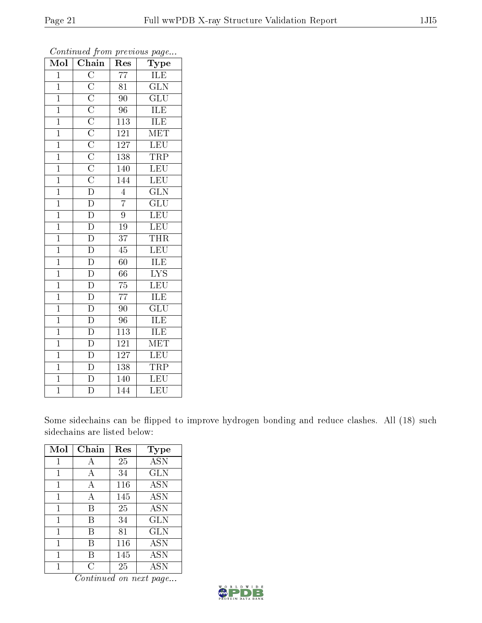| Mol            | $\overline{\mathbf{C}}$ hain                                                                                                                                         | ${\mathop{\mathrm{Res}}\nolimits}$ | $_{\rm Type}$           |
|----------------|----------------------------------------------------------------------------------------------------------------------------------------------------------------------|------------------------------------|-------------------------|
| $\overline{1}$ |                                                                                                                                                                      | $\overline{77}$                    | ILE                     |
| $\overline{1}$ |                                                                                                                                                                      | $\overline{81}$                    | $\overline{\text{GLN}}$ |
| $\overline{1}$ |                                                                                                                                                                      | $90\,$                             | $\overline{\text{GLU}}$ |
| $\mathbf{1}$   |                                                                                                                                                                      | 96                                 | $\overline{\text{ILE}}$ |
| $\overline{1}$ |                                                                                                                                                                      | $\overline{113}$                   | ILE                     |
| $\mathbf{1}$   | $\overline{C}$ $\overline{C}$ $\overline{C}$ $\overline{C}$ $\overline{C}$ $\overline{C}$ $\overline{C}$ $\overline{C}$ $\overline{C}$ $\overline{D}$ $\overline{D}$ | 121                                | MET                     |
| $\overline{1}$ |                                                                                                                                                                      | 127                                | LEU                     |
| $\overline{1}$ |                                                                                                                                                                      | 138                                | <b>TRP</b>              |
| $\overline{1}$ |                                                                                                                                                                      | 140                                | LEU                     |
| $\mathbf{1}$   |                                                                                                                                                                      | 144                                | LEU                     |
| $\overline{1}$ |                                                                                                                                                                      | $\overline{4}$                     | $\overline{\text{GLN}}$ |
| $\overline{1}$ |                                                                                                                                                                      | $\overline{7}$                     | $\overline{{\rm GLU}}$  |
| $\overline{1}$ | $\overline{D}$                                                                                                                                                       | $\overline{9}$                     | LEU                     |
| $\overline{1}$ | $\overline{\rm D}$                                                                                                                                                   | 19                                 | LEU                     |
| $\overline{1}$ | $\frac{1}{D}$                                                                                                                                                        | $\overline{37}$                    | <b>THR</b>              |
| $\overline{1}$ | $\overline{\mathrm{D}}$                                                                                                                                              | 45                                 | <b>LEU</b>              |
| $\overline{1}$ | $\frac{\overline{D}}{D}$                                                                                                                                             | $60\,$                             | <b>ILE</b>              |
| $\mathbf{1}$   |                                                                                                                                                                      | $\overline{66}$                    | $\overline{\text{LYS}}$ |
| $\mathbf 1$    | $\overline{\mathbb{D}}$                                                                                                                                              | $\overline{75}$                    | $\overline{\text{LEU}}$ |
| $\overline{1}$ | $\overline{\rm D}$                                                                                                                                                   | $\overline{77}$                    | ILE                     |
| $\overline{1}$ |                                                                                                                                                                      | $\overline{90}$                    | $\overline{\text{GLU}}$ |
| $\overline{1}$ | $\frac{\overline{D}}{D}$                                                                                                                                             | 96                                 | <b>ILE</b>              |
| $\mathbf{1}$   | $\overline{\mathrm{D}}$                                                                                                                                              | 113                                | ILE                     |
| $\overline{1}$ | $\frac{\overline{D}}{D}$                                                                                                                                             | $\overline{121}$                   | $\overline{\text{MET}}$ |
| $\mathbf{1}$   |                                                                                                                                                                      | 127                                | LEU                     |
| $\overline{1}$ | $\overline{\rm D}$                                                                                                                                                   | 138                                | TRP                     |
| $\overline{1}$ | $\overline{D}$                                                                                                                                                       | 140                                | $\overline{\text{LEU}}$ |
| $\overline{1}$ | $\overline{\rm D}$                                                                                                                                                   | $\overline{144}$                   | $\overline{\text{LEU}}$ |

Some sidechains can be flipped to improve hydrogen bonding and reduce clashes. All (18) such sidechains are listed below:

| Mol | Chain     | Res | Type                               |
|-----|-----------|-----|------------------------------------|
|     | А         | 25  | <b>ASN</b>                         |
| 1   | A         | 34  | <b>GLN</b>                         |
| 1   | А         | 116 | <b>ASN</b>                         |
| 1   | А         | 145 | <b>ASN</b>                         |
| 1   | В         | 25  | <b>ASN</b>                         |
| 1   | В         | 34  | <b>GLN</b>                         |
| 1   | В         | 81  | <b>GLN</b>                         |
| 1   | В         | 116 | <b>ASN</b>                         |
| 1   | В         | 145 | <b>ASN</b>                         |
|     | $\bigcap$ | 25  | $\overline{\mathrm{A}}\mathrm{SN}$ |

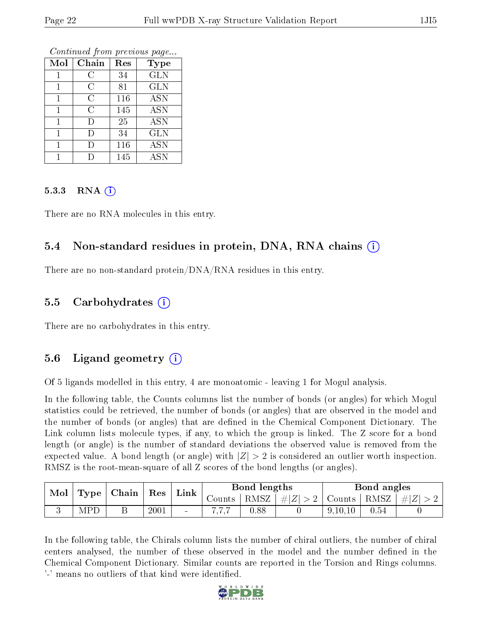| Mol | Chain | Res | <b>Type</b>           |
|-----|-------|-----|-----------------------|
|     | C     | 34  | <b>GLN</b>            |
|     | C     | 81  | <b>GLN</b>            |
|     | C     | 116 | <b>ASN</b>            |
|     | C     | 145 | <b>ASN</b>            |
|     | Ð     | 25  | $\overline{ASN}$      |
| 1   | Ð     | 34  | <b>GLN</b>            |
|     | I)    | 116 | <b>ASN</b>            |
|     |       | 145 | $\overline{\rm{ASN}}$ |

#### 5.3.3 RNA [O](https://www.wwpdb.org/validation/2017/XrayValidationReportHelp#rna)i

There are no RNA molecules in this entry.

### 5.4 Non-standard residues in protein, DNA, RNA chains (i)

There are no non-standard protein/DNA/RNA residues in this entry.

### 5.5 Carbohydrates (i)

There are no carbohydrates in this entry.

### 5.6 Ligand geometry  $(i)$

Of 5 ligands modelled in this entry, 4 are monoatomic - leaving 1 for Mogul analysis.

In the following table, the Counts columns list the number of bonds (or angles) for which Mogul statistics could be retrieved, the number of bonds (or angles) that are observed in the model and the number of bonds (or angles) that are defined in the Chemical Component Dictionary. The Link column lists molecule types, if any, to which the group is linked. The Z score for a bond length (or angle) is the number of standard deviations the observed value is removed from the expected value. A bond length (or angle) with  $|Z| > 2$  is considered an outlier worth inspection. RMSZ is the root-mean-square of all Z scores of the bond lengths (or angles).

| Mol  |            | Chain |      | Link                     |        | Bond lengths |         |           | Bond angles |         |
|------|------------|-------|------|--------------------------|--------|--------------|---------|-----------|-------------|---------|
| Type |            | Res   |      |                          | Counts | RMSZ         | $\# Z $ | Counts    | RMSZ        | $\ H\ $ |
|      | <b>MPI</b> | ىر    | 2001 | $\overline{\phantom{a}}$ |        | 0.88         |         | 9, 10, 10 | 0.54        |         |

In the following table, the Chirals column lists the number of chiral outliers, the number of chiral centers analysed, the number of these observed in the model and the number defined in the Chemical Component Dictionary. Similar counts are reported in the Torsion and Rings columns. '-' means no outliers of that kind were identified.

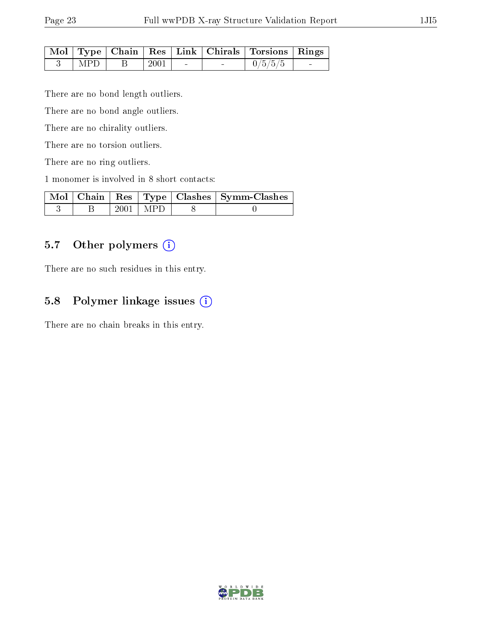| I<br>٦ |
|--------|
|--------|

|                   |                    |                          |                                   | Mol   Type   Chain   Res   Link   Chirals   Torsions   Rings |  |
|-------------------|--------------------|--------------------------|-----------------------------------|--------------------------------------------------------------|--|
| $\hat{ }$   MPD + | $\mid$ 2001 $\mid$ | <b>Contract Contract</b> | <b>Contract Contract Contract</b> | $\begin{array}{ c c c } \hline 0/5/5/5 \ \hline \end{array}$ |  |

There are no bond length outliers.

There are no bond angle outliers.

There are no chirality outliers.

There are no torsion outliers.

There are no ring outliers.

1 monomer is involved in 8 short contacts:

|  |              | Mol   Chain   Res   Type   Clashes   Symm-Clashes |
|--|--------------|---------------------------------------------------|
|  | $2001$   MPD |                                                   |

# 5.7 [O](https://www.wwpdb.org/validation/2017/XrayValidationReportHelp#nonstandard_residues_and_ligands)ther polymers (i)

There are no such residues in this entry.

# 5.8 Polymer linkage issues (i)

There are no chain breaks in this entry.

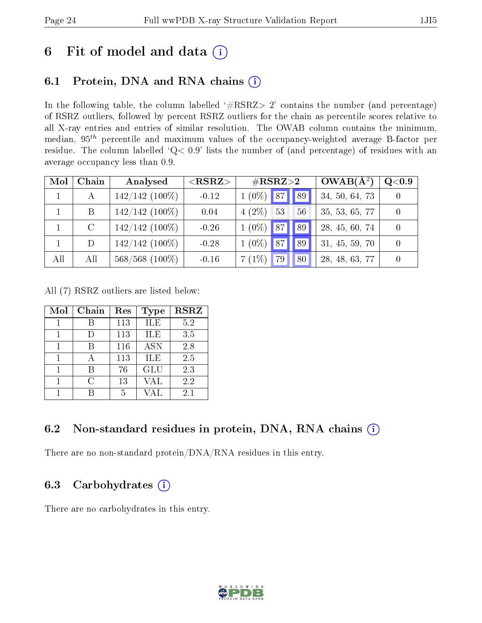# 6 Fit of model and data  $(i)$

# 6.1 Protein, DNA and RNA chains  $(i)$

In the following table, the column labelled  $#RSRZ> 2'$  contains the number (and percentage) of RSRZ outliers, followed by percent RSRZ outliers for the chain as percentile scores relative to all X-ray entries and entries of similar resolution. The OWAB column contains the minimum, median,  $95<sup>th</sup>$  percentile and maximum values of the occupancy-weighted average B-factor per residue. The column labelled ' $Q< 0.9$ ' lists the number of (and percentage) of residues with an average occupancy less than 0.9.

| Mol | Chain   | Analysed         | $<$ RSRZ $>$ | $\#\text{RSRZ}{>}2$           | $OWAB(A^2)$    | Q <sub>0.9</sub> |
|-----|---------|------------------|--------------|-------------------------------|----------------|------------------|
|     | А       | $142/142$ (100%) | $-0.12$      | $1(0\%)$ 87<br>$\parallel$ 89 | 34, 50, 64, 73 |                  |
|     | B       | $142/142$ (100%) | 0.04         | $4(2\%)$<br>53<br>56          | 35, 53, 65, 77 |                  |
|     | $\rm C$ | $142/142$ (100%) | $-0.26$      | $1(0\%)$<br>87<br>89          | 28, 45, 60, 74 |                  |
|     | D       | $142/142$ (100%) | $-0.28$      | $1(0\%)$<br>87<br>89          | 31, 45, 59, 70 |                  |
| All | All     | $568/568$ (100%) | $-0.16$      | $7(1\%)$<br>79<br>80          | 28, 48, 63, 77 |                  |

All (7) RSRZ outliers are listed below:

| Mol | Chain | Res | <b>Type</b> | <b>RSRZ</b> |
|-----|-------|-----|-------------|-------------|
|     |       | 113 | ILE         | 5.2         |
|     |       | 113 | ILE         | 3.5         |
|     |       | 116 | <b>ASN</b>  | 2.8         |
|     |       | 113 | ILE         | 2.5         |
|     |       | 76  | GLU         | 2.3         |
|     | C     | 13  | VAL         | 2.2         |
|     |       | 5   | VAL         | 2.1         |

### 6.2 Non-standard residues in protein, DNA, RNA chains  $(i)$

There are no non-standard protein/DNA/RNA residues in this entry.

### 6.3 Carbohydrates  $(i)$

There are no carbohydrates in this entry.